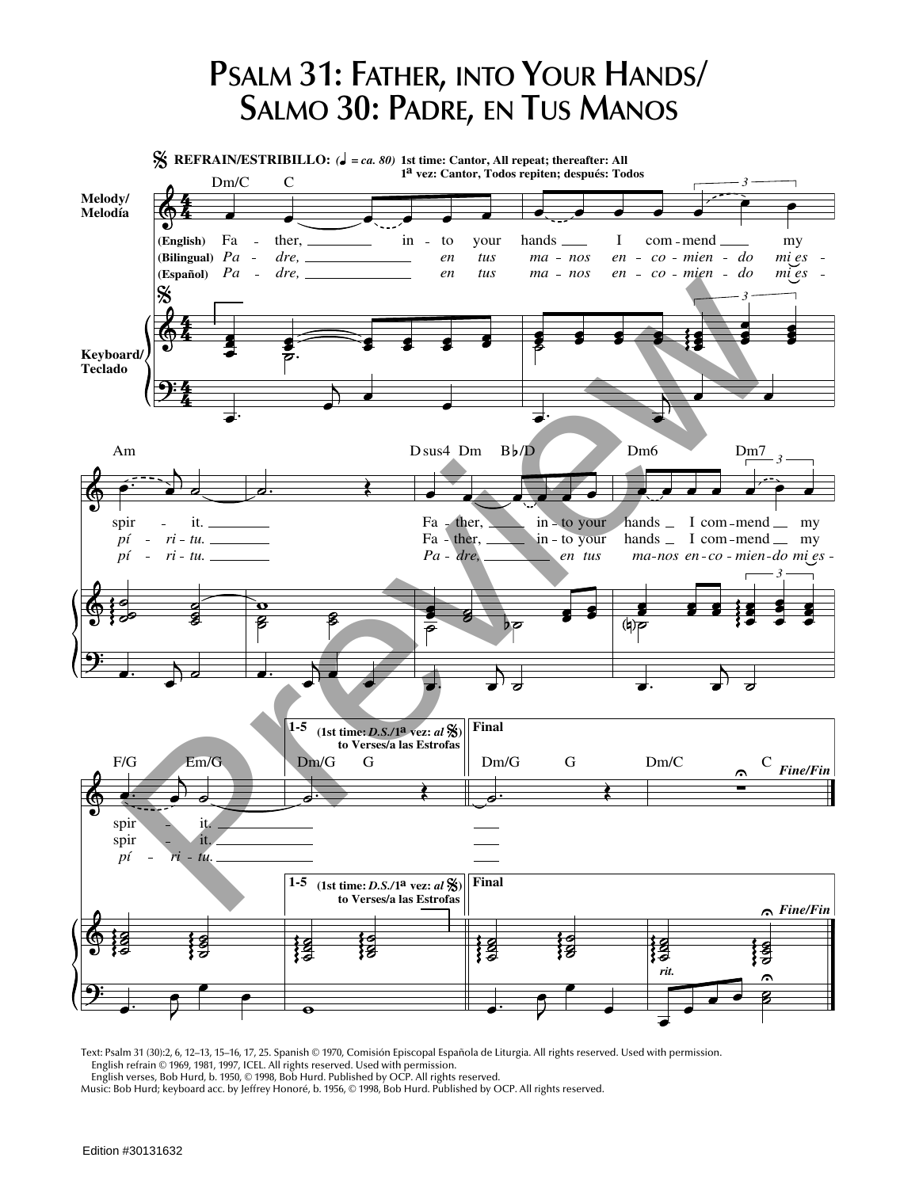## **PSALM 31: FATHER, INTO YOUR HANDS/ SALMO 30: PADRE, EN TUS MANOS**



Text: Psalm 31 (30):2, 6, 12–13, 15–16, 17, 25. Spanish © 1970, Comisión Episcopal Española de Liturgia. All rights reserved. Used with permission. English refrain © 1969, 1981, 1997, ICEL. All rights reserved. Used with permission.

English verses, Bob Hurd, b. 1950, © 1998, Bob Hurd. Published by OCP. All rights reserved.

Music: Bob Hurd; keyboard acc. by Jeffrey Honoré, b. 1956, © 1998, Bob Hurd. Published by OCP. All rights reserved.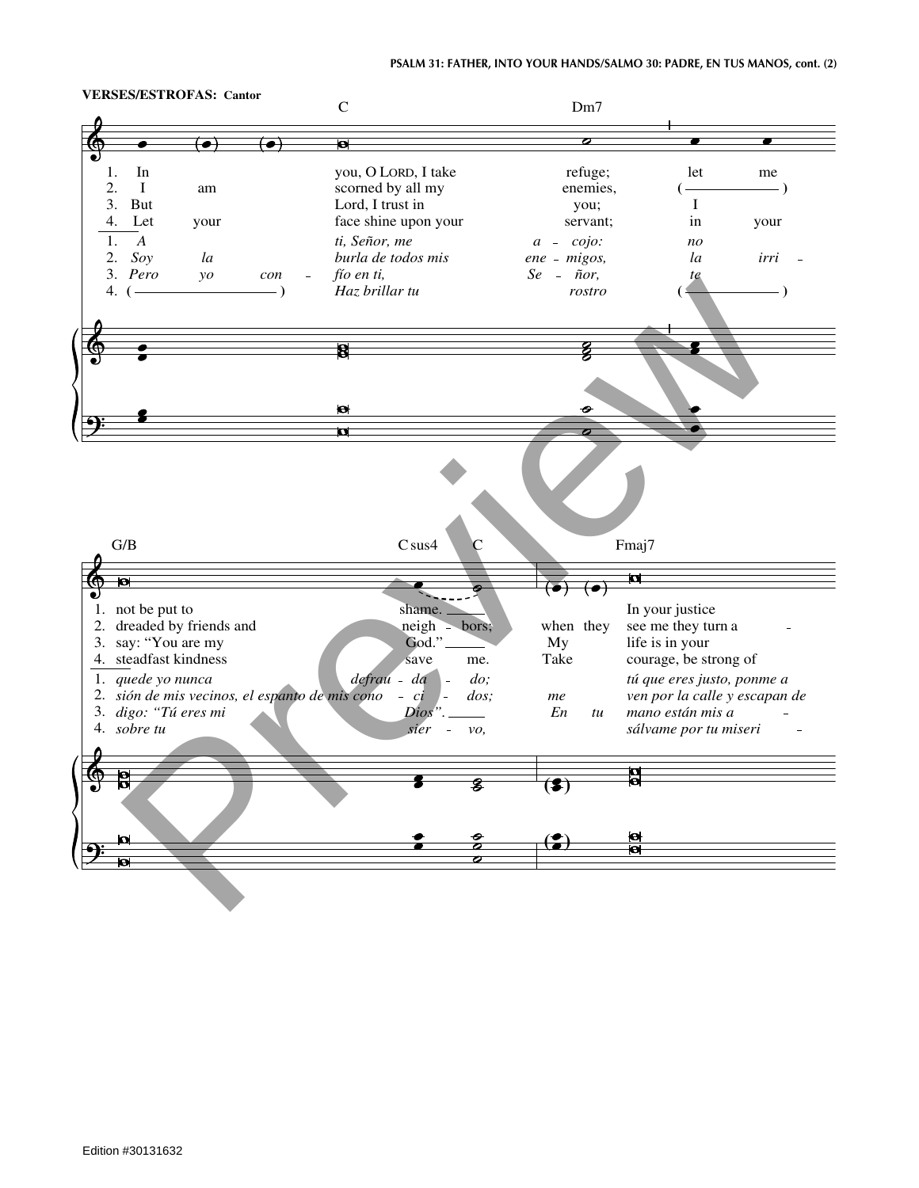